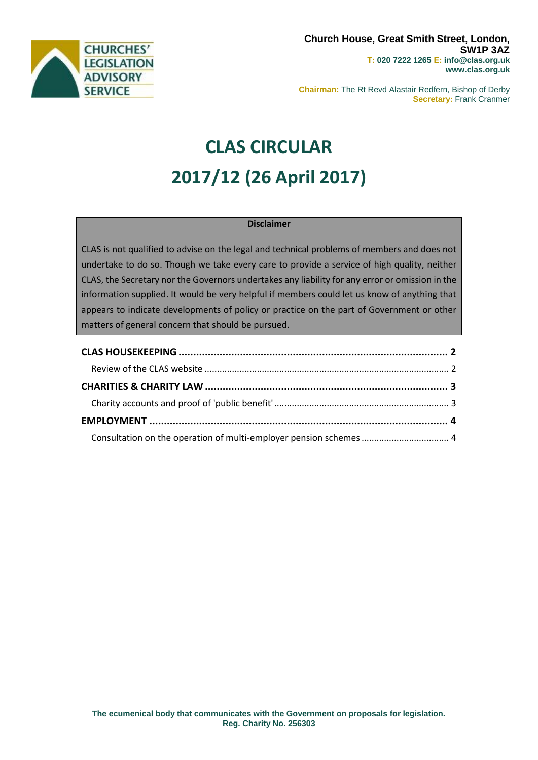

**Chairman:** The Rt Revd Alastair Redfern, Bishop of Derby **Secretary:** Frank Cranmer

# **CLAS CIRCULAR 2017/12 (26 April 2017)**

#### **Disclaimer**

CLAS is not qualified to advise on the legal and technical problems of members and does not undertake to do so. Though we take every care to provide a service of high quality, neither CLAS, the Secretary nor the Governors undertakes any liability for any error or omission in the information supplied. It would be very helpful if members could let us know of anything that appears to indicate developments of policy or practice on the part of Government or other matters of general concern that should be pursued.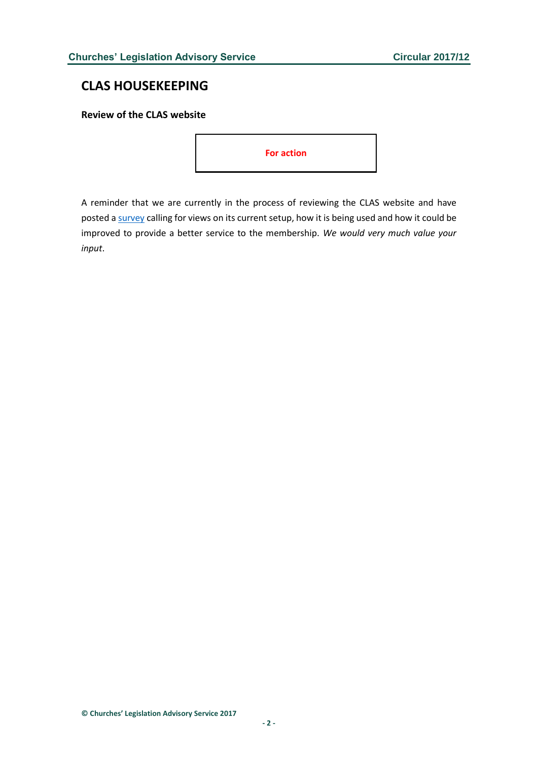## <span id="page-1-0"></span>**CLAS HOUSEKEEPING**

<span id="page-1-1"></span>**Review of the CLAS website**



A reminder that we are currently in the process of reviewing the CLAS website and have posted [a survey](https://www.surveymonkey.co.uk/r/QBNVVPR) calling for views on its current setup, how it is being used and how it could be improved to provide a better service to the membership. *We would very much value your input*.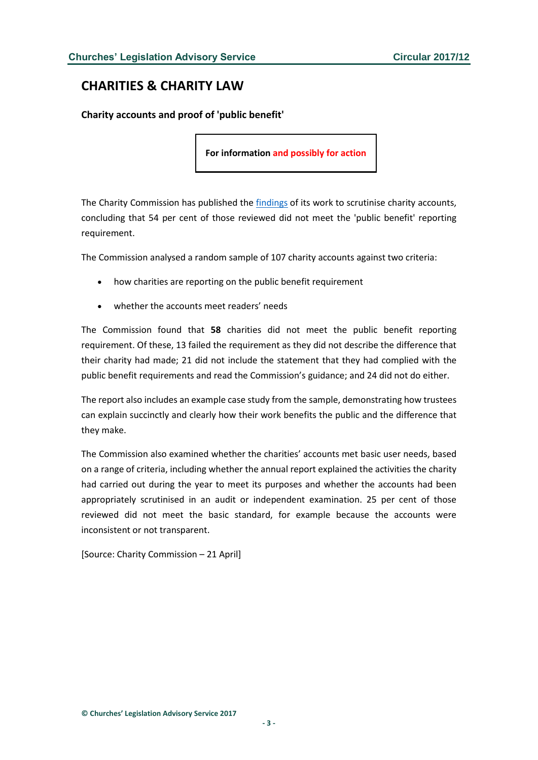## <span id="page-2-0"></span>**CHARITIES & CHARITY LAW**

<span id="page-2-1"></span>**Charity accounts and proof of 'public benefit'**

**For information and possibly for action**

The Charity Commission has published the [findings](http://www.gov.uk/government/collections/accounts-monitoring-charity-commission) of its work to scrutinise charity accounts, concluding that 54 per cent of those reviewed did not meet the 'public benefit' reporting requirement.

The Commission analysed a random sample of 107 charity accounts against two criteria:

- how charities are reporting on the public benefit requirement
- whether the accounts meet readers' needs

The Commission found that **58** charities did not meet the public benefit reporting requirement. Of these, 13 failed the requirement as they did not describe the difference that their charity had made; 21 did not include the statement that they had complied with the public benefit requirements and read the Commission's guidance; and 24 did not do either.

The report also includes an example case study from the sample, demonstrating how trustees can explain succinctly and clearly how their work benefits the public and the difference that they make.

The Commission also examined whether the charities' accounts met basic user needs, based on a range of criteria, including whether the annual report explained the activities the charity had carried out during the year to meet its purposes and whether the accounts had been appropriately scrutinised in an audit or independent examination. 25 per cent of those reviewed did not meet the basic standard, for example because the accounts were inconsistent or not transparent.

[Source: Charity Commission – 21 April]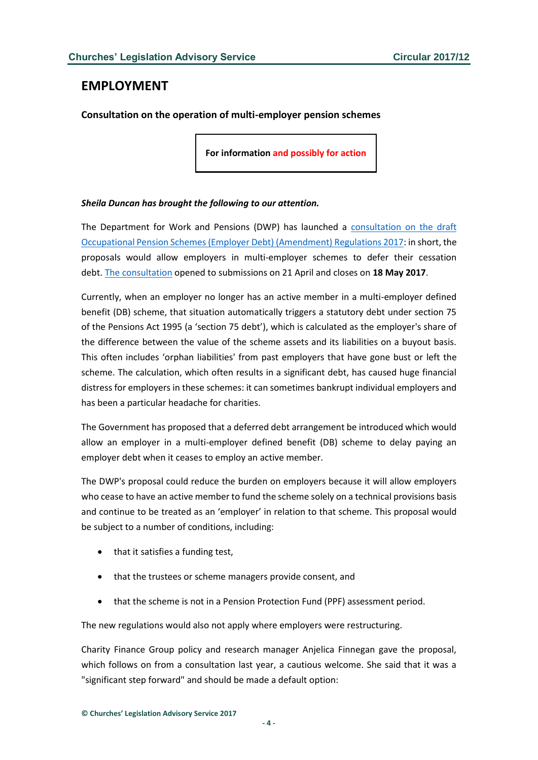### <span id="page-3-0"></span>**EMPLOYMENT**

<span id="page-3-1"></span>**Consultation on the operation of multi-employer pension schemes**

**For information and possibly for action**

#### *Sheila Duncan has brought the following to our attention.*

The Department for Work and Pensions (DWP) has launched a [consultation on the draft](https://www.gov.uk/government/uploads/system/uploads/attachment_data/file/610556/the-draft-occupational-pension-schemes-employer-debt-amendment-regulations-2017-consultation.pdf)  [Occupational Pension Schemes \(Employer Debt\) \(Amendment\) Regulations 2017:](https://www.gov.uk/government/uploads/system/uploads/attachment_data/file/610556/the-draft-occupational-pension-schemes-employer-debt-amendment-regulations-2017-consultation.pdf) in short, the proposals would allow employers in multi-employer schemes to defer their cessation debt. [The consultation](https://www.gov.uk/government/consultations/the-draft-occupational-pension-schemes-employer-debt-amendment-regulations-2017) opened to submissions on 21 April and closes on **18 May 2017**.

Currently, when an employer no longer has an active member in a multi-employer defined benefit (DB) scheme, that situation automatically triggers a statutory debt under section 75 of the Pensions Act 1995 (a 'section 75 debt'), which is calculated as the employer's share of the difference between the value of the scheme assets and its liabilities on a buyout basis. This often includes 'orphan liabilities' from past employers that have gone bust or left the scheme. The calculation, which often results in a significant debt, has caused huge financial distress for employers in these schemes: it can sometimes bankrupt individual employers and has been a particular headache for charities.

The Government has proposed that a deferred debt arrangement be introduced which would allow an employer in a multi-employer defined benefit (DB) scheme to delay paying an employer debt when it ceases to employ an active member.

The DWP's proposal could reduce the burden on employers because it will allow employers who cease to have an active member to fund the scheme solely on a technical provisions basis and continue to be treated as an 'employer' in relation to that scheme. This proposal would be subject to a number of conditions, including:

- that it satisfies a funding test,
- that the trustees or scheme managers provide consent, and
- that the scheme is not in a Pension Protection Fund (PPF) assessment period.

The new regulations would also not apply where employers were restructuring.

Charity Finance Group policy and research manager Anjelica Finnegan gave the proposal, which follows on from a consultation last year, a cautious welcome. She said that it was a "significant step forward" and should be made a default option: